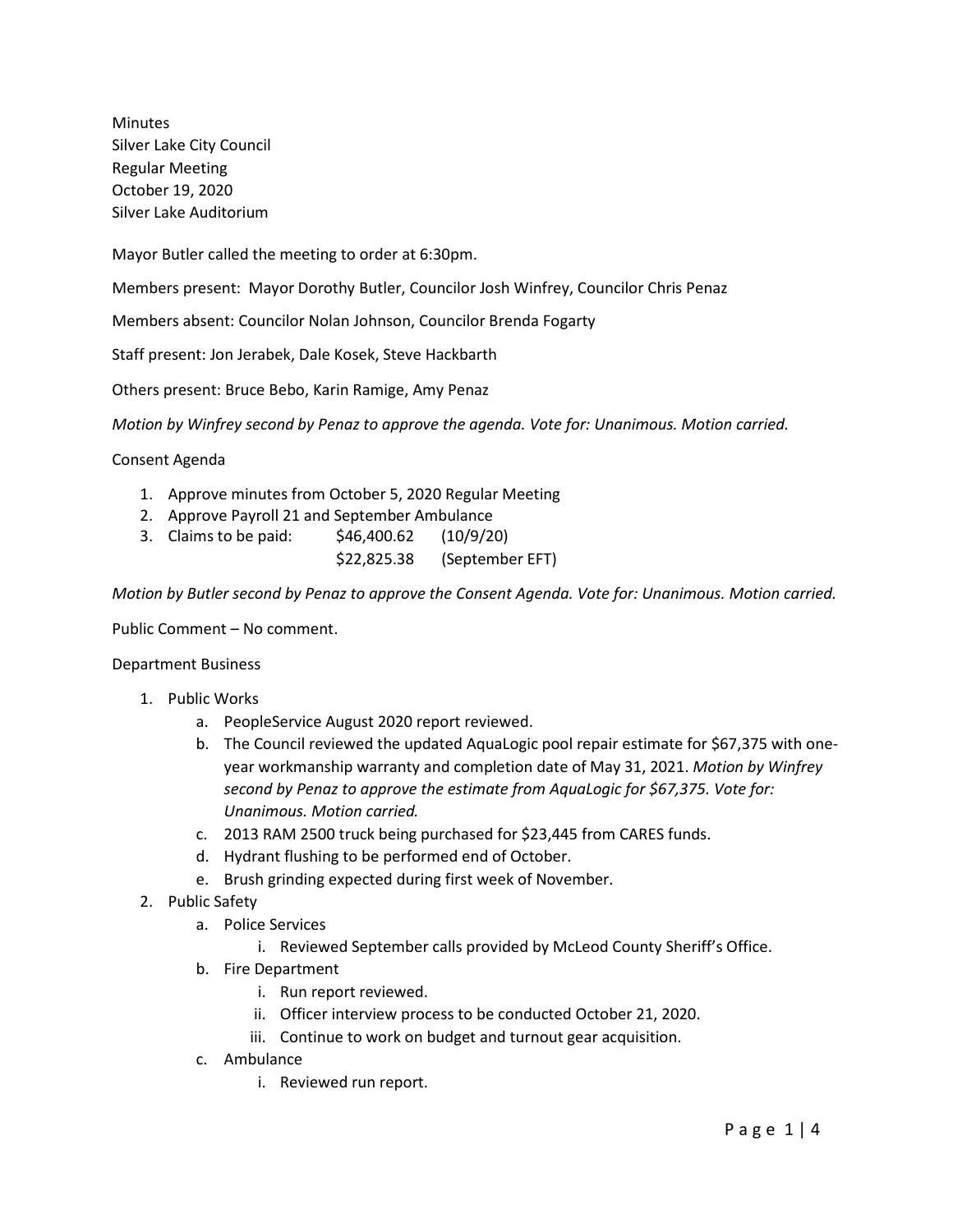Minutes Silver Lake City Council Regular Meeting October 19, 2020 Silver Lake Auditorium

Mayor Butler called the meeting to order at 6:30pm.

Members present: Mayor Dorothy Butler, Councilor Josh Winfrey, Councilor Chris Penaz

Members absent: Councilor Nolan Johnson, Councilor Brenda Fogarty

Staff present: Jon Jerabek, Dale Kosek, Steve Hackbarth

Others present: Bruce Bebo, Karin Ramige, Amy Penaz

*Motion by Winfrey second by Penaz to approve the agenda. Vote for: Unanimous. Motion carried.*

Consent Agenda

- 1. Approve minutes from October 5, 2020 Regular Meeting
- 2. Approve Payroll 21 and September Ambulance
- 3. Claims to be paid: \$46,400.62 (10/9/20)
	- \$22,825.38 (September EFT)

*Motion by Butler second by Penaz to approve the Consent Agenda. Vote for: Unanimous. Motion carried.*

Public Comment – No comment.

#### Department Business

- 1. Public Works
	- a. PeopleService August 2020 report reviewed.
	- b. The Council reviewed the updated AquaLogic pool repair estimate for \$67,375 with oneyear workmanship warranty and completion date of May 31, 2021. *Motion by Winfrey second by Penaz to approve the estimate from AquaLogic for \$67,375. Vote for: Unanimous. Motion carried.*
	- c. 2013 RAM 2500 truck being purchased for \$23,445 from CARES funds.
	- d. Hydrant flushing to be performed end of October.
	- e. Brush grinding expected during first week of November.
- 2. Public Safety
	- a. Police Services
		- i. Reviewed September calls provided by McLeod County Sheriff's Office.
	- b. Fire Department
		- i. Run report reviewed.
		- ii. Officer interview process to be conducted October 21, 2020.
		- iii. Continue to work on budget and turnout gear acquisition.
	- c. Ambulance
		- i. Reviewed run report.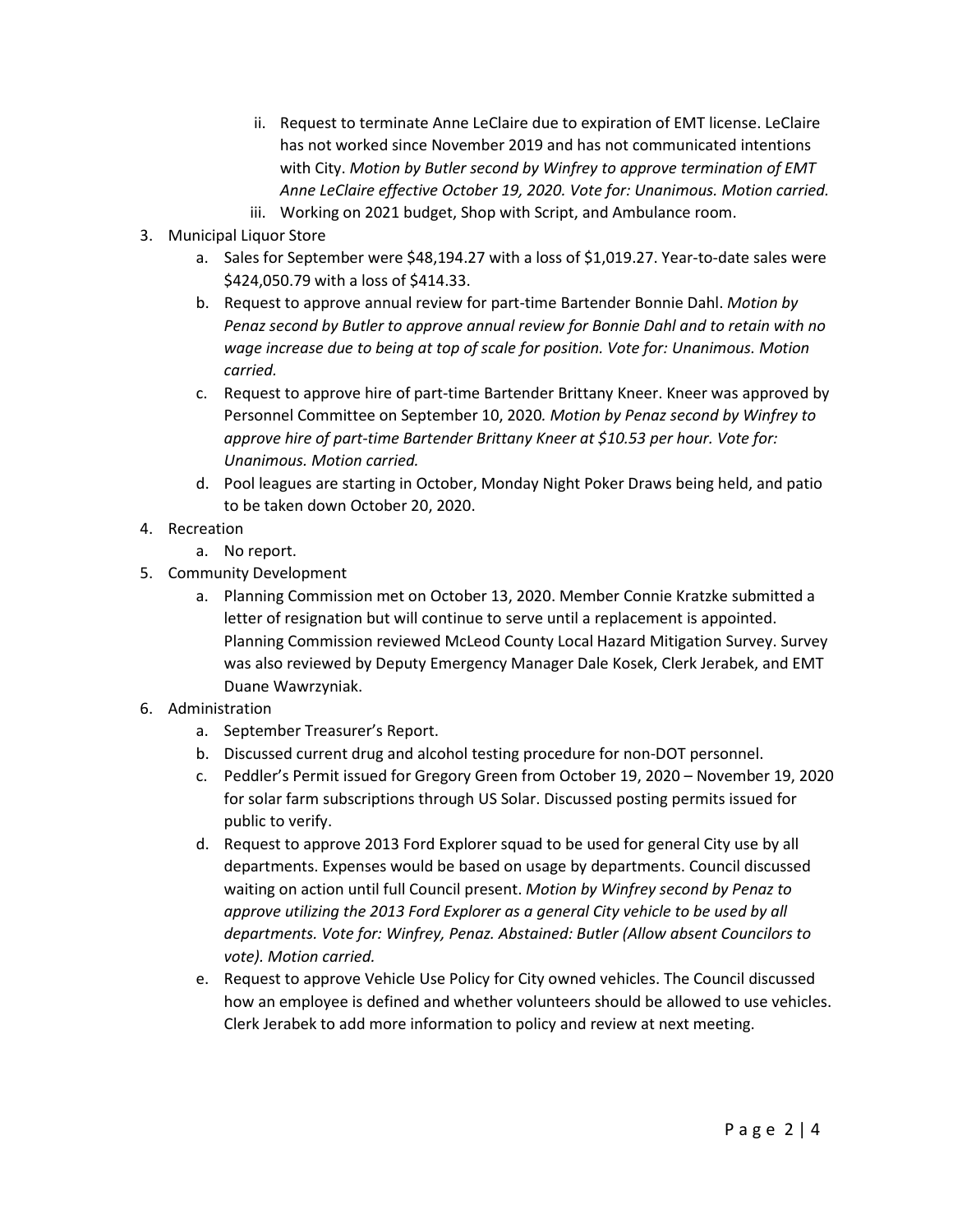- ii. Request to terminate Anne LeClaire due to expiration of EMT license. LeClaire has not worked since November 2019 and has not communicated intentions with City. *Motion by Butler second by Winfrey to approve termination of EMT Anne LeClaire effective October 19, 2020. Vote for: Unanimous. Motion carried.*
- iii. Working on 2021 budget, Shop with Script, and Ambulance room.
- 3. Municipal Liquor Store
	- a. Sales for September were \$48,194.27 with a loss of \$1,019.27. Year-to-date sales were \$424,050.79 with a loss of \$414.33.
	- b. Request to approve annual review for part-time Bartender Bonnie Dahl. *Motion by Penaz second by Butler to approve annual review for Bonnie Dahl and to retain with no wage increase due to being at top of scale for position. Vote for: Unanimous. Motion carried.*
	- c. Request to approve hire of part-time Bartender Brittany Kneer. Kneer was approved by Personnel Committee on September 10, 2020*. Motion by Penaz second by Winfrey to approve hire of part-time Bartender Brittany Kneer at \$10.53 per hour. Vote for: Unanimous. Motion carried.*
	- d. Pool leagues are starting in October, Monday Night Poker Draws being held, and patio to be taken down October 20, 2020.
- 4. Recreation
	- a. No report.
- 5. Community Development
	- a. Planning Commission met on October 13, 2020. Member Connie Kratzke submitted a letter of resignation but will continue to serve until a replacement is appointed. Planning Commission reviewed McLeod County Local Hazard Mitigation Survey. Survey was also reviewed by Deputy Emergency Manager Dale Kosek, Clerk Jerabek, and EMT Duane Wawrzyniak.
- 6. Administration
	- a. September Treasurer's Report.
	- b. Discussed current drug and alcohol testing procedure for non-DOT personnel.
	- c. Peddler's Permit issued for Gregory Green from October 19, 2020 November 19, 2020 for solar farm subscriptions through US Solar. Discussed posting permits issued for public to verify.
	- d. Request to approve 2013 Ford Explorer squad to be used for general City use by all departments. Expenses would be based on usage by departments. Council discussed waiting on action until full Council present. *Motion by Winfrey second by Penaz to approve utilizing the 2013 Ford Explorer as a general City vehicle to be used by all departments. Vote for: Winfrey, Penaz. Abstained: Butler (Allow absent Councilors to vote). Motion carried.*
	- e. Request to approve Vehicle Use Policy for City owned vehicles. The Council discussed how an employee is defined and whether volunteers should be allowed to use vehicles. Clerk Jerabek to add more information to policy and review at next meeting.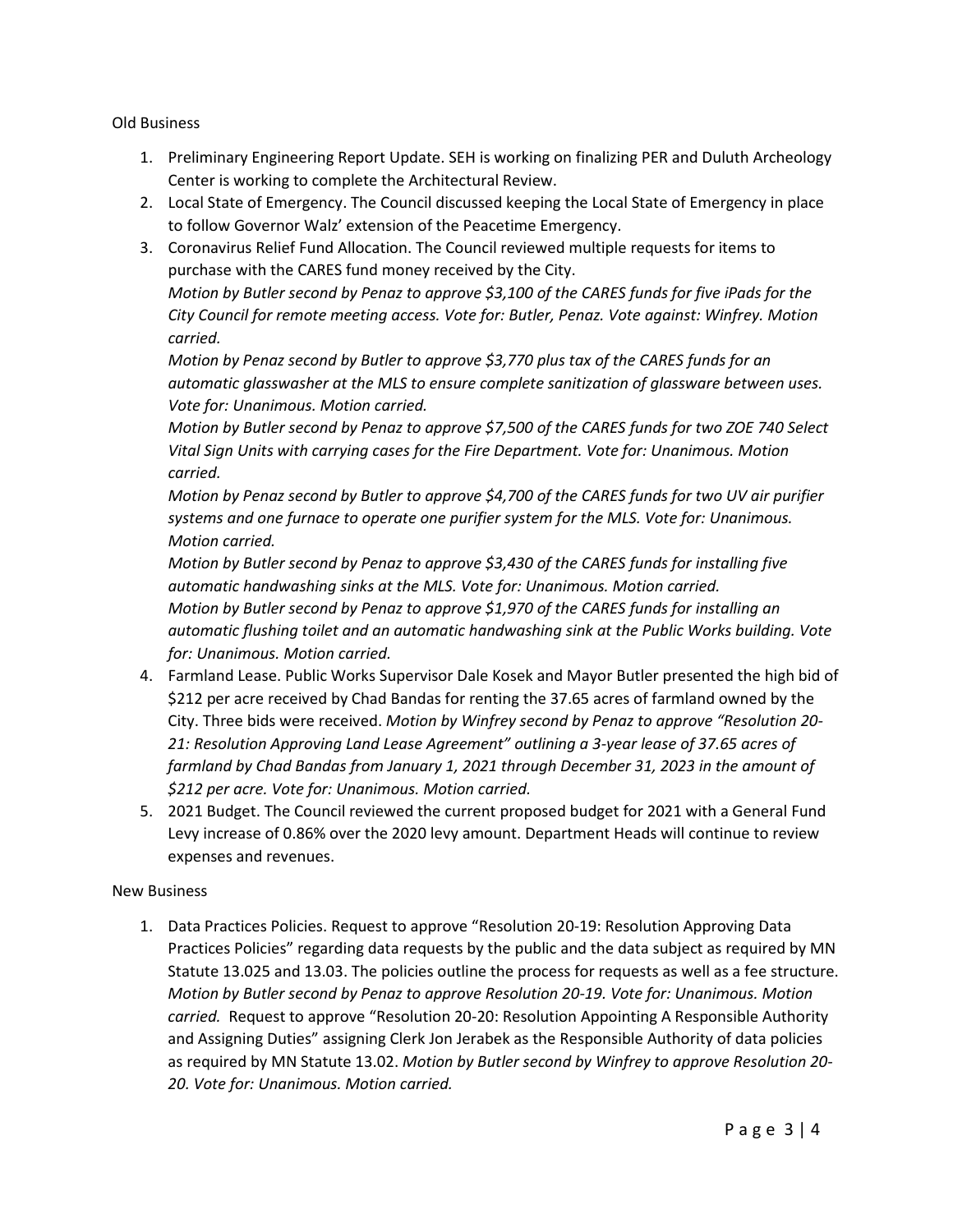Old Business

- 1. Preliminary Engineering Report Update. SEH is working on finalizing PER and Duluth Archeology Center is working to complete the Architectural Review.
- 2. Local State of Emergency. The Council discussed keeping the Local State of Emergency in place to follow Governor Walz' extension of the Peacetime Emergency.
- 3. Coronavirus Relief Fund Allocation. The Council reviewed multiple requests for items to purchase with the CARES fund money received by the City. *Motion by Butler second by Penaz to approve \$3,100 of the CARES funds for five iPads for the City Council for remote meeting access. Vote for: Butler, Penaz. Vote against: Winfrey. Motion carried.*

*Motion by Penaz second by Butler to approve \$3,770 plus tax of the CARES funds for an automatic glasswasher at the MLS to ensure complete sanitization of glassware between uses. Vote for: Unanimous. Motion carried.* 

*Motion by Butler second by Penaz to approve \$7,500 of the CARES funds for two ZOE 740 Select Vital Sign Units with carrying cases for the Fire Department. Vote for: Unanimous. Motion carried.*

*Motion by Penaz second by Butler to approve \$4,700 of the CARES funds for two UV air purifier systems and one furnace to operate one purifier system for the MLS. Vote for: Unanimous. Motion carried.* 

*Motion by Butler second by Penaz to approve \$3,430 of the CARES funds for installing five automatic handwashing sinks at the MLS. Vote for: Unanimous. Motion carried. Motion by Butler second by Penaz to approve \$1,970 of the CARES funds for installing an automatic flushing toilet and an automatic handwashing sink at the Public Works building. Vote for: Unanimous. Motion carried.*

- 4. Farmland Lease. Public Works Supervisor Dale Kosek and Mayor Butler presented the high bid of \$212 per acre received by Chad Bandas for renting the 37.65 acres of farmland owned by the City. Three bids were received. *Motion by Winfrey second by Penaz to approve "Resolution 20- 21: Resolution Approving Land Lease Agreement" outlining a 3-year lease of 37.65 acres of farmland by Chad Bandas from January 1, 2021 through December 31, 2023 in the amount of \$212 per acre. Vote for: Unanimous. Motion carried.*
- 5. 2021 Budget. The Council reviewed the current proposed budget for 2021 with a General Fund Levy increase of 0.86% over the 2020 levy amount. Department Heads will continue to review expenses and revenues.

#### New Business

1. Data Practices Policies. Request to approve "Resolution 20-19: Resolution Approving Data Practices Policies" regarding data requests by the public and the data subject as required by MN Statute 13.025 and 13.03. The policies outline the process for requests as well as a fee structure. *Motion by Butler second by Penaz to approve Resolution 20-19. Vote for: Unanimous. Motion carried.* Request to approve "Resolution 20-20: Resolution Appointing A Responsible Authority and Assigning Duties" assigning Clerk Jon Jerabek as the Responsible Authority of data policies as required by MN Statute 13.02. *Motion by Butler second by Winfrey to approve Resolution 20- 20. Vote for: Unanimous. Motion carried.*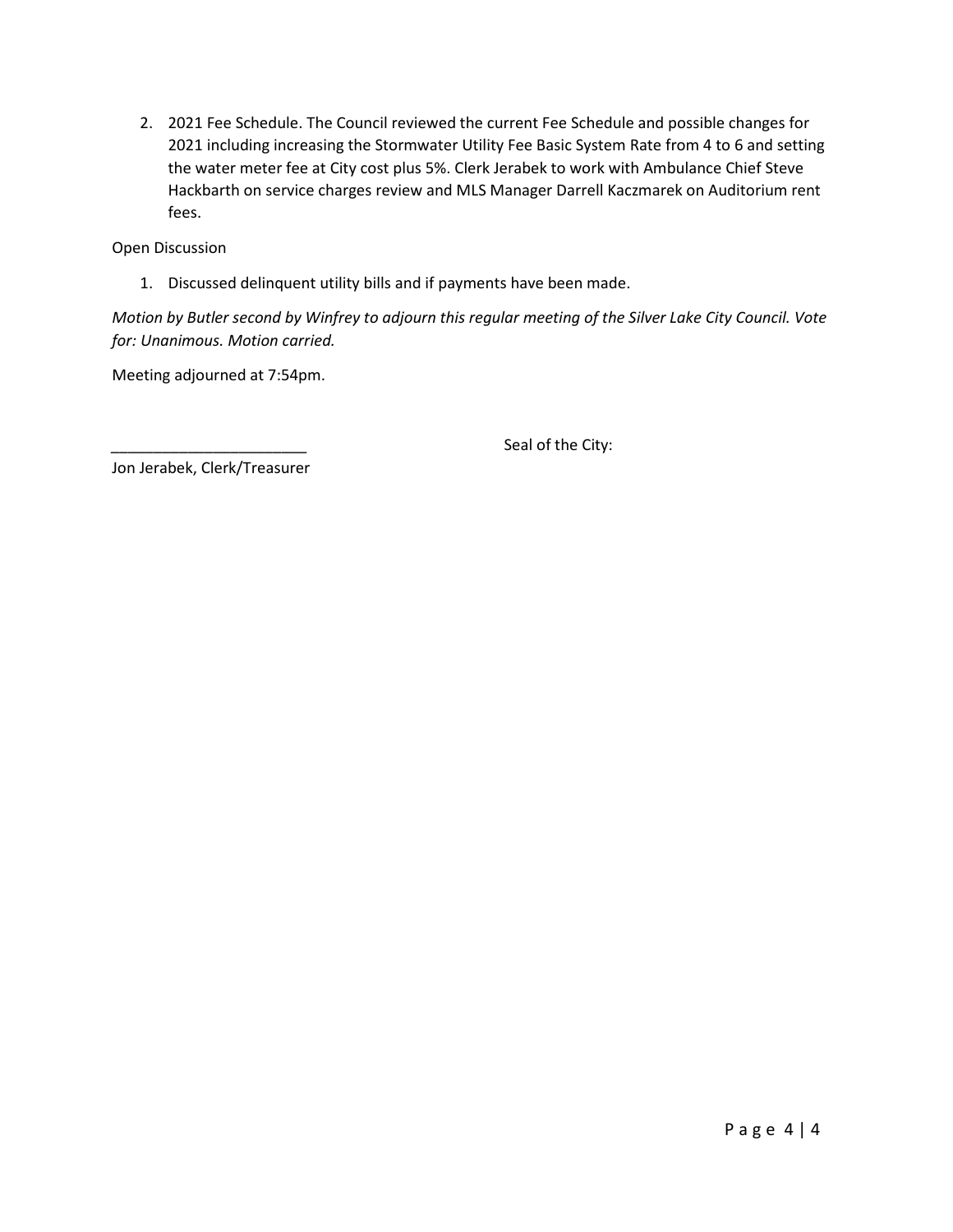2. 2021 Fee Schedule. The Council reviewed the current Fee Schedule and possible changes for 2021 including increasing the Stormwater Utility Fee Basic System Rate from 4 to 6 and setting the water meter fee at City cost plus 5%. Clerk Jerabek to work with Ambulance Chief Steve Hackbarth on service charges review and MLS Manager Darrell Kaczmarek on Auditorium rent fees.

Open Discussion

1. Discussed delinquent utility bills and if payments have been made.

*Motion by Butler second by Winfrey to adjourn this regular meeting of the Silver Lake City Council. Vote for: Unanimous. Motion carried.*

Meeting adjourned at 7:54pm.

Seal of the City:

Jon Jerabek, Clerk/Treasurer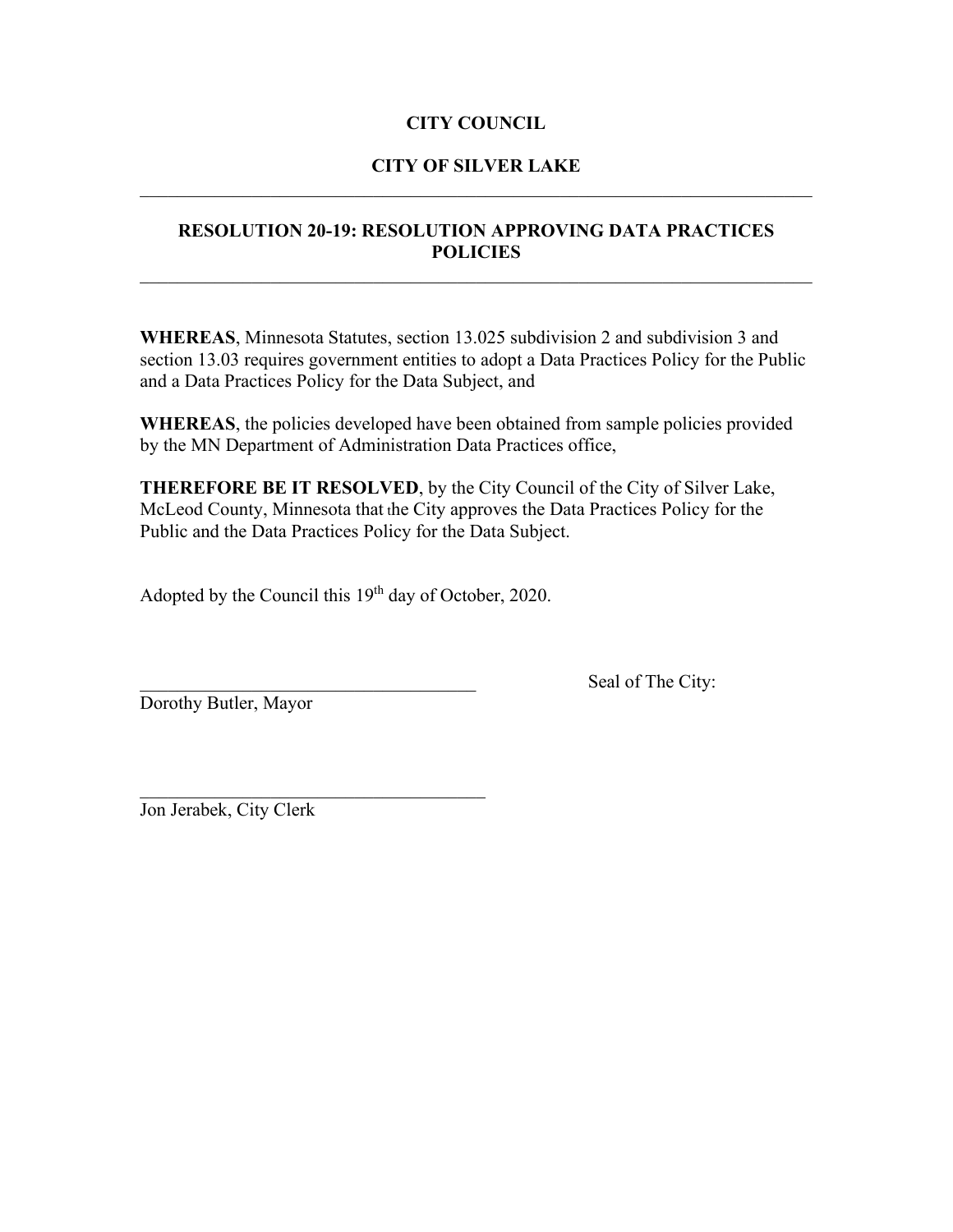# **CITY COUNCIL**

# **CITY OF SILVER LAKE**  $\mathcal{L}_\text{G}$  , and the contribution of the contribution of the contribution of the contribution of the contribution of the contribution of the contribution of the contribution of the contribution of the contribution of t

# **RESOLUTION 20-19: RESOLUTION APPROVING DATA PRACTICES POLICIES**

**WHEREAS**, Minnesota Statutes, section 13.025 subdivision 2 and subdivision 3 and section 13.03 requires government entities to adopt a Data Practices Policy for the Public and a Data Practices Policy for the Data Subject, and

**WHEREAS**, the policies developed have been obtained from sample policies provided by the MN Department of Administration Data Practices office,

**THEREFORE BE IT RESOLVED**, by the City Council of the City of Silver Lake, McLeod County, Minnesota that the City approves the Data Practices Policy for the Public and the Data Practices Policy for the Data Subject.

Adopted by the Council this 19<sup>th</sup> day of October, 2020.

 $\mathcal{L}_\text{max}$  and  $\mathcal{L}_\text{max}$  and  $\mathcal{L}_\text{max}$  and  $\mathcal{L}_\text{max}$ 

Dorothy Butler, Mayor

Seal of The City:

Jon Jerabek, City Clerk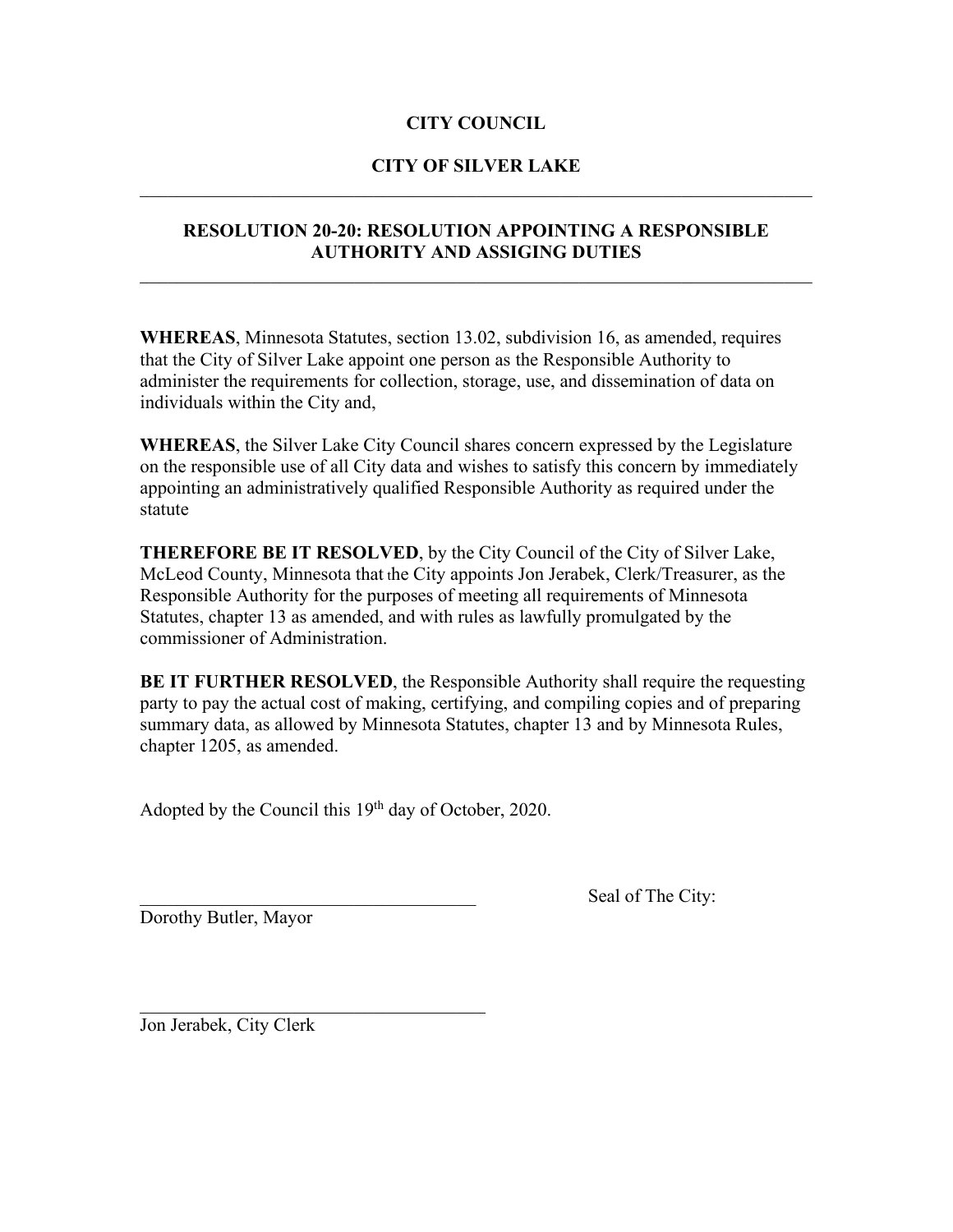# **CITY COUNCIL**

## **CITY OF SILVER LAKE**  $\mathcal{L}_\text{G}$  , and the contribution of the contribution of the contribution of the contribution of the contribution of the contribution of the contribution of the contribution of the contribution of the contribution of t

# **RESOLUTION 20-20: RESOLUTION APPOINTING A RESPONSIBLE AUTHORITY AND ASSIGING DUTIES**

**WHEREAS**, Minnesota Statutes, section 13.02, subdivision 16, as amended, requires that the City of Silver Lake appoint one person as the Responsible Authority to administer the requirements for collection, storage, use, and dissemination of data on individuals within the City and,

**WHEREAS**, the Silver Lake City Council shares concern expressed by the Legislature on the responsible use of all City data and wishes to satisfy this concern by immediately appointing an administratively qualified Responsible Authority as required under the statute

**THEREFORE BE IT RESOLVED**, by the City Council of the City of Silver Lake, McLeod County, Minnesota that the City appoints Jon Jerabek, Clerk/Treasurer, as the Responsible Authority for the purposes of meeting all requirements of Minnesota Statutes, chapter 13 as amended, and with rules as lawfully promulgated by the commissioner of Administration.

**BE IT FURTHER RESOLVED**, the Responsible Authority shall require the requesting party to pay the actual cost of making, certifying, and compiling copies and of preparing summary data, as allowed by Minnesota Statutes, chapter 13 and by Minnesota Rules, chapter 1205, as amended.

Adopted by the Council this 19<sup>th</sup> day of October, 2020.

 $\mathcal{L}_\text{max}$  and  $\mathcal{L}_\text{max}$  and  $\mathcal{L}_\text{max}$  and  $\mathcal{L}_\text{max}$ 

Dorothy Butler, Mayor

Seal of The City:

Jon Jerabek, City Clerk